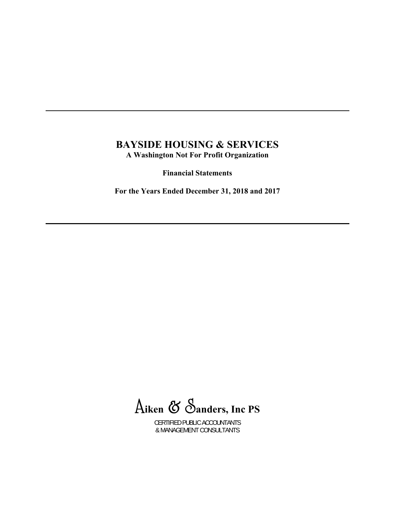# **BAYSIDE HOUSING & SERVICES A Washington Not For Profit Organization**

**Financial Statements** 

**For the Years Ended December 31, 2018 and 2017** 

A**iken** & S**anders, Inc PS**

CERTIFIED PUBLIC ACCOUNTANTS & MANAGEMENT CONSULTANTS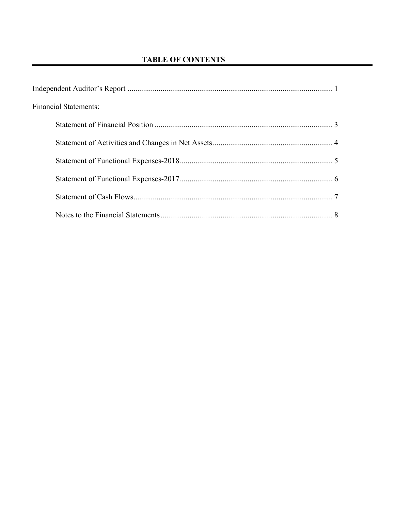| <b>Financial Statements:</b> |  |
|------------------------------|--|
|                              |  |
|                              |  |
|                              |  |
|                              |  |
|                              |  |
|                              |  |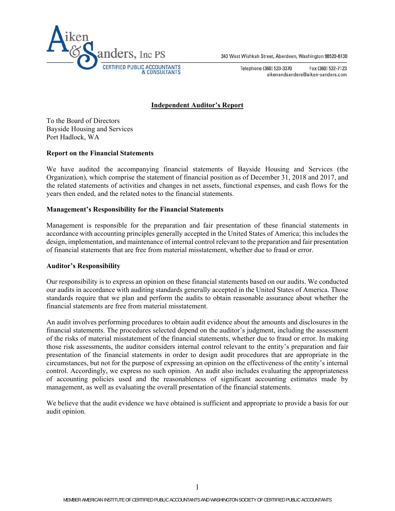

343 West Wishkah Street, Aberdeen, Washington 98520-6130

Telephone (360) 533-3370 Fax (360) 532-7123 aikenandsanders@aiken-sanders.com

#### **Independent Auditor's Report**

To the Board of Directors Bayside Housing and Services Port Hadlock, WA

#### **Report on the Financial Statements**

We have audited the accompanying financial statements of Bayside Housing and Services (the Organization), which comprise the statement of financial position as of December 31, 2018 and 2017, and the related statements of activities and changes in net assets, functional expenses, and cash flows for the years then ended, and the related notes to the financial statements.

#### **Management's Responsibility for the Financial Statements**

Management is responsible for the preparation and fair presentation of these financial statements in accordance with accounting principles generally accepted in the United States of America; this includes the design, implementation, and maintenance of internal control relevant to the preparation and fair presentation of financial statements that are free from material misstatement, whether due to fraud or error.

#### **Auditor's Responsibility**

Our responsibility is to express an opinion on these financial statements based on our audits. We conducted our audits in accordance with auditing standards generally accepted in the United States of America. Those standards require that we plan and perform the audits to obtain reasonable assurance about whether the financial statements are free from material misstatement.

An audit involves performing procedures to obtain audit evidence about the amounts and disclosures in the financial statements. The procedures selected depend on the auditor's judgment, including the assessment of the risks of material misstatement of the financial statements, whether due to fraud or error. In making those risk assessments, the auditor considers internal control relevant to the entity's preparation and fair presentation of the financial statements in order to design audit procedures that are appropriate in the circumstances, but not for the purpose of expressing an opinion on the effectiveness of the entity's internal control. Accordingly, we express no such opinion. An audit also includes evaluating the appropriateness of accounting policies used and the reasonableness of significant accounting estimates made by management, as well as evaluating the overall presentation of the financial statements.

We believe that the audit evidence we have obtained is sufficient and appropriate to provide a basis for our audit opinion.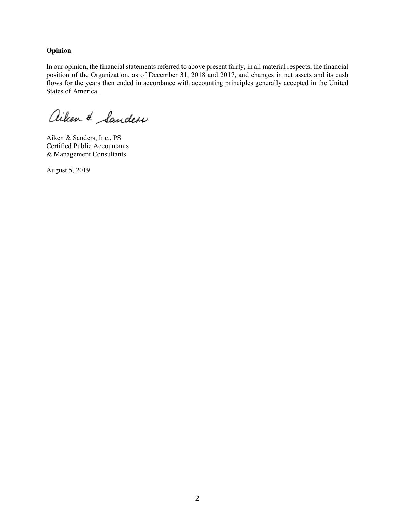#### **Opinion**

In our opinion, the financial statements referred to above present fairly, in all material respects, the financial position of the Organization, as of December 31, 2018 and 2017, and changes in net assets and its cash flows for the years then ended in accordance with accounting principles generally accepted in the United States of America.

aiken & Sanders

Aiken & Sanders, Inc., PS Certified Public Accountants & Management Consultants

August 5, 2019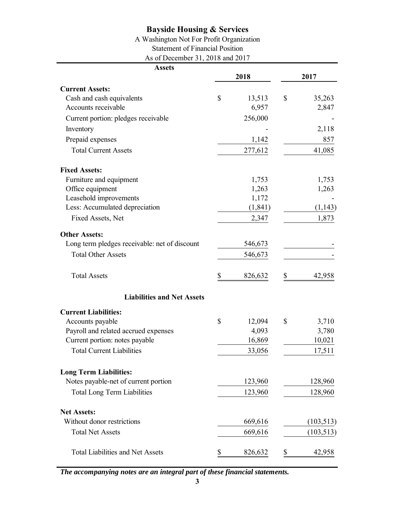## A Washington Not For Profit Organization

Statement of Financial Position

As of December 31, 2018 and 2017

| <b>Assets</b>                                 |               |               |
|-----------------------------------------------|---------------|---------------|
|                                               | 2018          | 2017          |
| <b>Current Assets:</b>                        |               |               |
| Cash and cash equivalents                     | \$<br>13,513  | \$<br>35,263  |
| Accounts receivable                           | 6,957         | 2,847         |
| Current portion: pledges receivable           | 256,000       |               |
| Inventory                                     |               | 2,118         |
| Prepaid expenses                              | 1,142         | 857           |
| <b>Total Current Assets</b>                   | 277,612       | 41,085        |
| <b>Fixed Assets:</b>                          |               |               |
| Furniture and equipment                       | 1,753         | 1,753         |
| Office equipment                              | 1,263         | 1,263         |
| Leasehold improvements                        | 1,172         |               |
| Less: Accumulated depreciation                | (1, 841)      | (1, 143)      |
| Fixed Assets, Net                             | 2,347         | 1,873         |
| <b>Other Assets:</b>                          |               |               |
| Long term pledges receivable: net of discount | 546,673       |               |
| <b>Total Other Assets</b>                     | 546,673       |               |
| <b>Total Assets</b>                           | \$<br>826,632 | \$<br>42,958  |
| <b>Liabilities and Net Assets</b>             |               |               |
| <b>Current Liabilities:</b>                   |               |               |
| Accounts payable                              | \$<br>12,094  | \$<br>3,710   |
| Payroll and related accrued expenses          | 4,093         | 3,780         |
| Current portion: notes payable                | 16,869        | 10,021        |
| <b>Total Current Liabilities</b>              | 33,056        | <u>17,511</u> |
| <b>Long Term Liabilities:</b>                 |               |               |
| Notes payable-net of current portion          | 123,960       | 128,960       |
| <b>Total Long Term Liabilities</b>            | 123,960       | 128,960       |
| <b>Net Assets:</b>                            |               |               |
| Without donor restrictions                    | 669,616       | (103, 513)    |
| <b>Total Net Assets</b>                       | 669,616       | (103, 513)    |
|                                               |               |               |
| <b>Total Liabilities and Net Assets</b>       | 826,632       | 42,958        |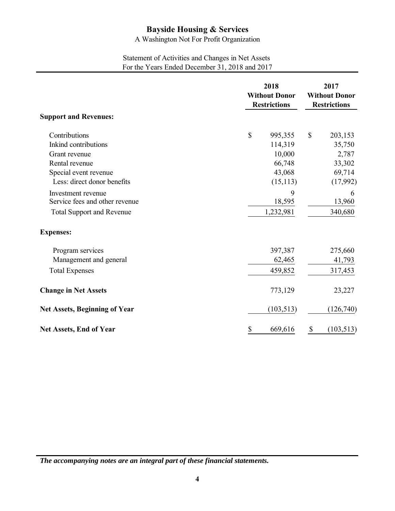A Washington Not For Profit Organization

## Statement of Activities and Changes in Net Assets For the Years Ended December 31, 2018 and 2017

|                                                      | 2018<br><b>Without Donor</b><br><b>Restrictions</b> |              | 2017<br><b>Without Donor</b><br><b>Restrictions</b> |
|------------------------------------------------------|-----------------------------------------------------|--------------|-----------------------------------------------------|
| <b>Support and Revenues:</b>                         |                                                     |              |                                                     |
| Contributions                                        | \$<br>995,355                                       | $\mathbb{S}$ | 203,153                                             |
| Inkind contributions                                 | 114,319                                             |              | 35,750                                              |
| Grant revenue                                        | 10,000                                              |              | 2,787                                               |
| Rental revenue                                       | 66,748                                              |              | 33,302                                              |
| Special event revenue                                | 43,068                                              |              | 69,714                                              |
| Less: direct donor benefits                          | (15, 113)                                           |              | (17,992)                                            |
| Investment revenue<br>Service fees and other revenue | 9                                                   |              | $\mathfrak b$                                       |
|                                                      | 18,595                                              |              | 13,960                                              |
| <b>Total Support and Revenue</b>                     | 1,232,981                                           |              | 340,680                                             |
| <b>Expenses:</b>                                     |                                                     |              |                                                     |
| Program services                                     | 397,387                                             |              | 275,660                                             |
| Management and general                               | 62,465                                              |              | 41,793                                              |
| <b>Total Expenses</b>                                | 459,852                                             |              | 317,453                                             |
| <b>Change in Net Assets</b>                          | 773,129                                             |              | 23,227                                              |
| <b>Net Assets, Beginning of Year</b>                 | (103, 513)                                          |              | (126,740)                                           |
| <b>Net Assets, End of Year</b>                       | \$<br>669,616                                       | \$           | (103, 513)                                          |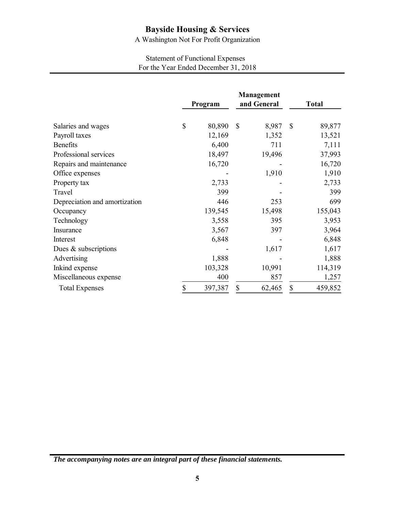A Washington Not For Profit Organization

## Statement of Functional Expenses For the Year Ended December 31, 2018

|                               | Program       | <b>Management</b><br>and General |              | <b>Total</b> |
|-------------------------------|---------------|----------------------------------|--------------|--------------|
| Salaries and wages            | \$<br>80,890  | \$<br>8,987                      | $\mathbb{S}$ | 89,877       |
| Payroll taxes                 | 12,169        | 1,352                            |              | 13,521       |
| Benefits                      | 6,400         | 711                              |              | 7,111        |
| Professional services         | 18,497        | 19,496                           |              | 37,993       |
| Repairs and maintenance       | 16,720        |                                  |              | 16,720       |
| Office expenses               |               | 1,910                            |              | 1,910        |
| Property tax                  | 2,733         |                                  |              | 2,733        |
| Travel                        | 399           |                                  |              | 399          |
| Depreciation and amortization | 446           | 253                              |              | 699          |
| Occupancy                     | 139,545       | 15,498                           |              | 155,043      |
| Technology                    | 3,558         | 395                              |              | 3,953        |
| Insurance                     | 3,567         | 397                              |              | 3,964        |
| Interest                      | 6,848         |                                  |              | 6,848        |
| Dues & subscriptions          |               | 1,617                            |              | 1,617        |
| Advertising                   | 1,888         |                                  |              | 1,888        |
| Inkind expense                | 103,328       | 10,991                           |              | 114,319      |
| Miscellaneous expense         | 400           | 857                              |              | 1,257        |
| <b>Total Expenses</b>         | \$<br>397,387 | \$<br>62,465                     | \$           | 459,852      |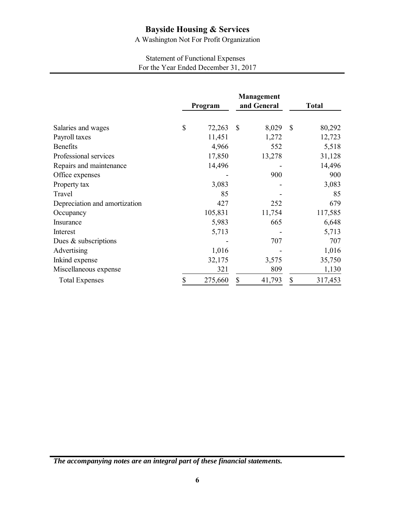A Washington Not For Profit Organization

## Statement of Functional Expenses For the Year Ended December 31, 2017

|                               | <b>Management</b> |         |             |        |               |         |
|-------------------------------|-------------------|---------|-------------|--------|---------------|---------|
|                               | Program           |         | and General |        | <b>Total</b>  |         |
| Salaries and wages            | \$                | 72,263  | S           | 8,029  | <sup>\$</sup> | 80,292  |
| Payroll taxes                 |                   | 11,451  |             | 1,272  |               | 12,723  |
| <b>Benefits</b>               |                   | 4,966   |             | 552    |               | 5,518   |
| Professional services         |                   | 17,850  |             | 13,278 |               | 31,128  |
| Repairs and maintenance       |                   | 14,496  |             |        |               | 14,496  |
| Office expenses               |                   |         |             | 900    |               | 900     |
| Property tax                  |                   | 3,083   |             |        |               | 3,083   |
| Travel                        |                   | 85      |             |        |               | 85      |
| Depreciation and amortization |                   | 427     |             | 252    |               | 679     |
| Occupancy                     |                   | 105,831 |             | 11,754 |               | 117,585 |
| Insurance                     |                   | 5,983   |             | 665    |               | 6,648   |
| Interest                      |                   | 5,713   |             |        |               | 5,713   |
| Dues & subscriptions          |                   |         |             | 707    |               | 707     |
| Advertising                   |                   | 1,016   |             |        |               | 1,016   |
| Inkind expense                |                   | 32,175  |             | 3,575  |               | 35,750  |
| Miscellaneous expense         |                   | 321     |             | 809    |               | 1,130   |
| <b>Total Expenses</b>         | \$                | 275,660 | \$          | 41,793 | \$            | 317,453 |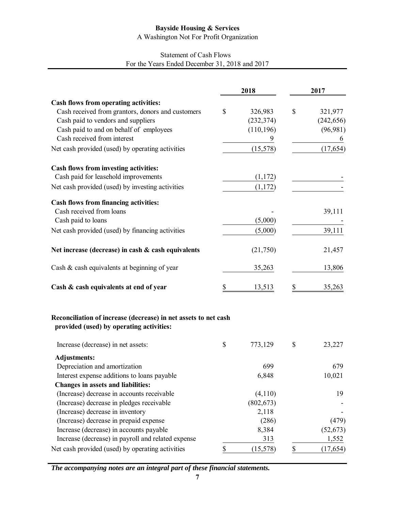A Washington Not For Profit Organization

## Statement of Cash Flows For the Years Ended December 31, 2018 and 2017

|                                                                                                             | 2018           | 2017            |
|-------------------------------------------------------------------------------------------------------------|----------------|-----------------|
| <b>Cash flows from operating activities:</b>                                                                |                |                 |
| Cash received from grantors, donors and customers                                                           | \$<br>326,983  | \$<br>321,977   |
| Cash paid to vendors and suppliers                                                                          | (232, 374)     | (242, 656)      |
| Cash paid to and on behalf of employees                                                                     | (110, 196)     | (96, 981)       |
| Cash received from interest                                                                                 | 9              | 6               |
| Net cash provided (used) by operating activities                                                            | (15, 578)      | (17, 654)       |
| <b>Cash flows from investing activities:</b>                                                                |                |                 |
| Cash paid for leasehold improvements                                                                        | (1,172)        |                 |
| Net cash provided (used) by investing activities                                                            | (1,172)        |                 |
| <b>Cash flows from financing activities:</b>                                                                |                |                 |
| Cash received from loans                                                                                    |                | 39,111          |
| Cash paid to loans                                                                                          | (5,000)        |                 |
| Net cash provided (used) by financing activities                                                            | (5,000)        | 39,111          |
| Net increase (decrease) in cash & cash equivalents                                                          | (21,750)       | 21,457          |
| Cash & cash equivalents at beginning of year                                                                | 35,263         | 13,806          |
| Cash & cash equivalents at end of year                                                                      | \$<br>13,513   | \$<br>35,263    |
| Reconciliation of increase (decrease) in net assets to net cash<br>provided (used) by operating activities: |                |                 |
| Increase (decrease) in net assets:                                                                          | \$<br>773,129  | \$<br>23,227    |
| <b>Adjustments:</b>                                                                                         |                |                 |
| Depreciation and amortization                                                                               | 699            | 679             |
| Interest expense additions to loans payable                                                                 | 6,848          | 10,021          |
| <b>Changes in assets and liabilities:</b>                                                                   |                |                 |
| (Increase) decrease in accounts receivable                                                                  | (4,110)        | 19              |
| (Increase) decrease in pledges receivable                                                                   | (802, 673)     |                 |
| (Increase) decrease in inventory                                                                            | 2,118          |                 |
| (Increase) decrease in prepaid expense                                                                      | (286)          | (479)           |
| Increase (decrease) in accounts payable                                                                     | 8,384          | (52, 673)       |
| Increase (decrease) in payroll and related expense                                                          | 313            | 1,552           |
| Net cash provided (used) by operating activities                                                            | \$<br>(15,578) | \$<br>(17, 654) |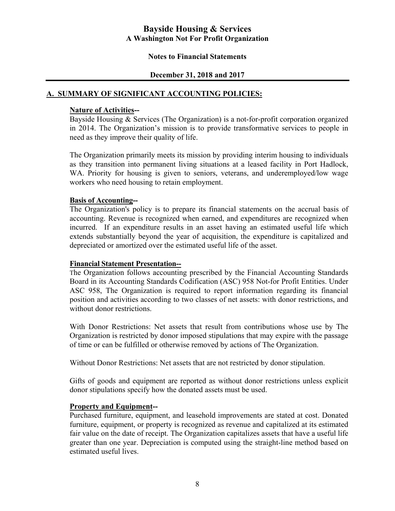#### **Notes to Financial Statements**

### **December 31, 2018 and 2017**

## **A. SUMMARY OF SIGNIFICANT ACCOUNTING POLICIES:**

#### **Nature of Activities--**

 Bayside Housing & Services (The Organization) is a not-for-profit corporation organized in 2014. The Organization's mission is to provide transformative services to people in need as they improve their quality of life.

 The Organization primarily meets its mission by providing interim housing to individuals as they transition into permanent living situations at a leased facility in Port Hadlock, WA. Priority for housing is given to seniors, veterans, and underemployed/low wage workers who need housing to retain employment.

### **Basis of Accounting--**

 The Organization's policy is to prepare its financial statements on the accrual basis of accounting. Revenue is recognized when earned, and expenditures are recognized when incurred. If an expenditure results in an asset having an estimated useful life which extends substantially beyond the year of acquisition, the expenditure is capitalized and depreciated or amortized over the estimated useful life of the asset.

#### **Financial Statement Presentation--**

 The Organization follows accounting prescribed by the Financial Accounting Standards Board in its Accounting Standards Codification (ASC) 958 Not-for Profit Entities. Under ASC 958, The Organization is required to report information regarding its financial position and activities according to two classes of net assets: with donor restrictions, and without donor restrictions.

 With Donor Restrictions: Net assets that result from contributions whose use by The Organization is restricted by donor imposed stipulations that may expire with the passage of time or can be fulfilled or otherwise removed by actions of The Organization.

Without Donor Restrictions: Net assets that are not restricted by donor stipulation.

 Gifts of goods and equipment are reported as without donor restrictions unless explicit donor stipulations specify how the donated assets must be used.

## **Property and Equipment--**

 Purchased furniture, equipment, and leasehold improvements are stated at cost. Donated furniture, equipment, or property is recognized as revenue and capitalized at its estimated fair value on the date of receipt. The Organization capitalizes assets that have a useful life greater than one year. Depreciation is computed using the straight-line method based on estimated useful lives.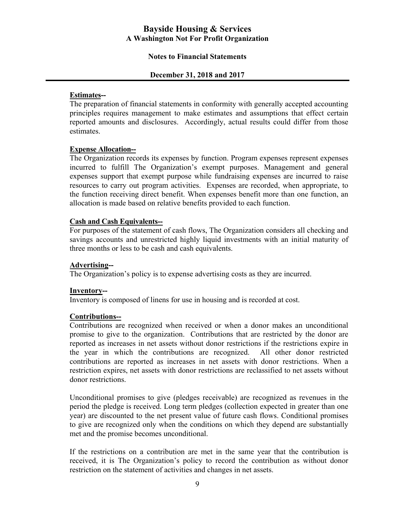#### **Notes to Financial Statements**

#### **December 31, 2018 and 2017**

#### **Estimates--**

 The preparation of financial statements in conformity with generally accepted accounting principles requires management to make estimates and assumptions that effect certain reported amounts and disclosures. Accordingly, actual results could differ from those estimates.

#### **Expense Allocation--**

 The Organization records its expenses by function. Program expenses represent expenses incurred to fulfill The Organization's exempt purposes. Management and general expenses support that exempt purpose while fundraising expenses are incurred to raise resources to carry out program activities. Expenses are recorded, when appropriate, to the function receiving direct benefit. When expenses benefit more than one function, an allocation is made based on relative benefits provided to each function.

#### **Cash and Cash Equivalents--**

 For purposes of the statement of cash flows, The Organization considers all checking and savings accounts and unrestricted highly liquid investments with an initial maturity of three months or less to be cash and cash equivalents.

#### **Advertising--**

The Organization's policy is to expense advertising costs as they are incurred.

#### **Inventory--**

Inventory is composed of linens for use in housing and is recorded at cost.

#### **Contributions--**

 Contributions are recognized when received or when a donor makes an unconditional promise to give to the organization. Contributions that are restricted by the donor are reported as increases in net assets without donor restrictions if the restrictions expire in the year in which the contributions are recognized. All other donor restricted contributions are reported as increases in net assets with donor restrictions. When a restriction expires, net assets with donor restrictions are reclassified to net assets without donor restrictions.

 Unconditional promises to give (pledges receivable) are recognized as revenues in the period the pledge is received. Long term pledges (collection expected in greater than one year) are discounted to the net present value of future cash flows. Conditional promises to give are recognized only when the conditions on which they depend are substantially met and the promise becomes unconditional.

 If the restrictions on a contribution are met in the same year that the contribution is received, it is The Organization's policy to record the contribution as without donor restriction on the statement of activities and changes in net assets.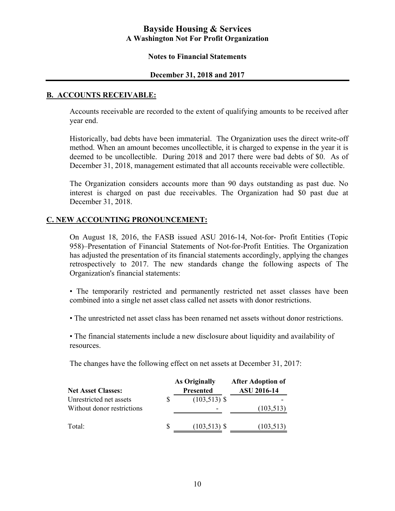#### **Notes to Financial Statements**

#### **December 31, 2018 and 2017**

#### **B. ACCOUNTS RECEIVABLE:**

Accounts receivable are recorded to the extent of qualifying amounts to be received after year end.

Historically, bad debts have been immaterial. The Organization uses the direct write-off method. When an amount becomes uncollectible, it is charged to expense in the year it is deemed to be uncollectible. During 2018 and 2017 there were bad debts of \$0. As of December 31, 2018, management estimated that all accounts receivable were collectible.

The Organization considers accounts more than 90 days outstanding as past due. No interest is charged on past due receivables. The Organization had \$0 past due at December 31, 2018.

#### **C. NEW ACCOUNTING PRONOUNCEMENT:**

 On August 18, 2016, the FASB issued ASU 2016-14, Not-for- Profit Entities (Topic 958)–Presentation of Financial Statements of Not-for-Profit Entities. The Organization has adjusted the presentation of its financial statements accordingly, applying the changes retrospectively to 2017. The new standards change the following aspects of The Organization's financial statements:

 • The temporarily restricted and permanently restricted net asset classes have been combined into a single net asset class called net assets with donor restrictions.

• The unrestricted net asset class has been renamed net assets without donor restrictions.

• The financial statements include a new disclosure about liquidity and availability of resources.

The changes have the following effect on net assets at December 31, 2017:

| <b>Net Asset Classes:</b>                             |   | <b>As Originally</b><br><b>Presented</b> | <b>After Adoption of</b><br><b>ASU 2016-14</b> |
|-------------------------------------------------------|---|------------------------------------------|------------------------------------------------|
| Unrestricted net assets<br>Without donor restrictions |   | $(103,513)$ \$                           | (103, 513)                                     |
| Total:                                                | S | $(103,513)$ \$                           | (103, 513)                                     |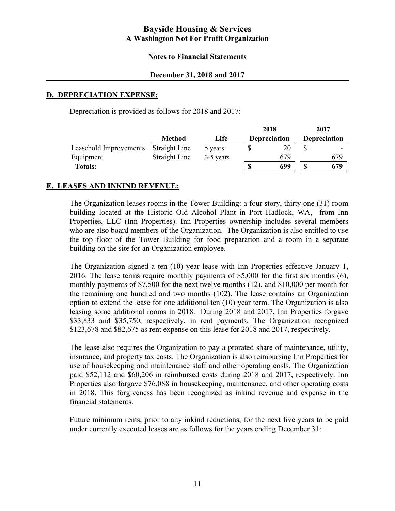#### **Notes to Financial Statements**

#### **December 31, 2018 and 2017**

#### **D. DEPRECIATION EXPENSE:**

Depreciation is provided as follows for 2018 and 2017:

|                        |               |           | 2018                | 2017                |
|------------------------|---------------|-----------|---------------------|---------------------|
|                        | <b>Method</b> | Life      | <b>Depreciation</b> | <b>Depreciation</b> |
| Leasehold Improvements | Straight Line | 5 years   |                     |                     |
| Equipment              | Straight Line | 3-5 years | 679                 | 679                 |
| <b>Totals:</b>         |               |           | 699                 | 679                 |

## **E. LEASES AND INKIND REVENUE:**

The Organization leases rooms in the Tower Building: a four story, thirty one (31) room building located at the Historic Old Alcohol Plant in Port Hadlock, WA, from Inn Properties, LLC (Inn Properties). Inn Properties ownership includes several members who are also board members of the Organization. The Organization is also entitled to use the top floor of the Tower Building for food preparation and a room in a separate building on the site for an Organization employee.

The Organization signed a ten (10) year lease with Inn Properties effective January 1, 2016. The lease terms require monthly payments of \$5,000 for the first six months (6), monthly payments of \$7,500 for the next twelve months (12), and \$10,000 per month for the remaining one hundred and two months (102). The lease contains an Organization option to extend the lease for one additional ten (10) year term. The Organization is also leasing some additional rooms in 2018. During 2018 and 2017, Inn Properties forgave \$33,833 and \$35,750, respectively, in rent payments. The Organization recognized \$123,678 and \$82,675 as rent expense on this lease for 2018 and 2017, respectively.

The lease also requires the Organization to pay a prorated share of maintenance, utility, insurance, and property tax costs. The Organization is also reimbursing Inn Properties for use of housekeeping and maintenance staff and other operating costs. The Organization paid \$52,112 and \$60,206 in reimbursed costs during 2018 and 2017, respectively. Inn Properties also forgave \$76,088 in housekeeping, maintenance, and other operating costs in 2018. This forgiveness has been recognized as inkind revenue and expense in the financial statements.

Future minimum rents, prior to any inkind reductions, for the next five years to be paid under currently executed leases are as follows for the years ending December 31: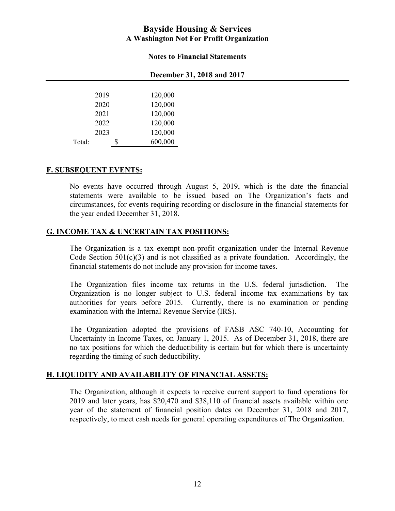#### **Notes to Financial Statements**

| 2019   | 120,000 |
|--------|---------|
| 2020   | 120,000 |
| 2021   | 120,000 |
| 2022   | 120,000 |
| 2023   | 120,000 |
| Total: | 600,000 |

#### **December 31, 2018 and 2017**

### **F. SUBSEQUENT EVENTS:**

No events have occurred through August 5, 2019, which is the date the financial statements were available to be issued based on The Organization's facts and circumstances, for events requiring recording or disclosure in the financial statements for the year ended December 31, 2018.

### **G. INCOME TAX & UNCERTAIN TAX POSITIONS:**

The Organization is a tax exempt non-profit organization under the Internal Revenue Code Section  $501(c)(3)$  and is not classified as a private foundation. Accordingly, the financial statements do not include any provision for income taxes.

The Organization files income tax returns in the U.S. federal jurisdiction. The Organization is no longer subject to U.S. federal income tax examinations by tax authorities for years before 2015. Currently, there is no examination or pending examination with the Internal Revenue Service (IRS).

The Organization adopted the provisions of FASB ASC 740-10, Accounting for Uncertainty in Income Taxes, on January 1, 2015. As of December 31, 2018, there are no tax positions for which the deductibility is certain but for which there is uncertainty regarding the timing of such deductibility.

## **H. LIQUIDITY AND AVAILABILITY OF FINANCIAL ASSETS:**

 The Organization, although it expects to receive current support to fund operations for 2019 and later years, has \$20,470 and \$38,110 of financial assets available within one year of the statement of financial position dates on December 31, 2018 and 2017, respectively, to meet cash needs for general operating expenditures of The Organization.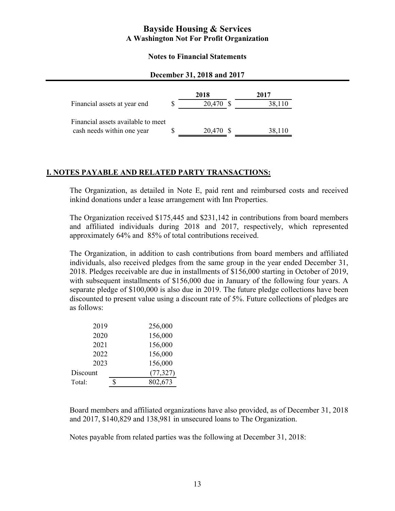### **Notes to Financial Statements**

#### **December 31, 2018 and 2017**

|                                                                  | 2018      | 2017   |
|------------------------------------------------------------------|-----------|--------|
| Financial assets at year end                                     | 20,470    | 38,110 |
| Financial assets available to meet<br>cash needs within one year | 20,470 \$ | 38,110 |

### **I. NOTES PAYABLE AND RELATED PARTY TRANSACTIONS:**

The Organization, as detailed in Note E, paid rent and reimbursed costs and received inkind donations under a lease arrangement with Inn Properties.

The Organization received \$175,445 and \$231,142 in contributions from board members and affiliated individuals during 2018 and 2017, respectively, which represented approximately 64% and 85% of total contributions received.

The Organization, in addition to cash contributions from board members and affiliated individuals, also received pledges from the same group in the year ended December 31, 2018. Pledges receivable are due in installments of \$156,000 starting in October of 2019, with subsequent installments of \$156,000 due in January of the following four years. A separate pledge of \$100,000 is also due in 2019. The future pledge collections have been discounted to present value using a discount rate of 5%. Future collections of pledges are as follows:

| 2019     | 256,000   |
|----------|-----------|
| 2020     | 156,000   |
| 2021     | 156,000   |
| 2022     | 156,000   |
| 2023     | 156,000   |
| Discount | (77, 327) |
| Total:   | 802,673   |

Board members and affiliated organizations have also provided, as of December 31, 2018 and 2017, \$140,829 and 138,981 in unsecured loans to The Organization.

Notes payable from related parties was the following at December 31, 2018: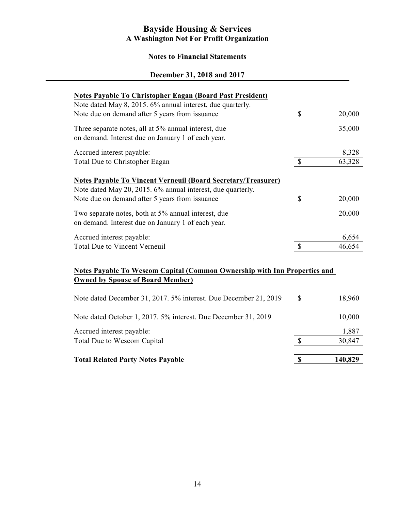## **Notes to Financial Statements**

## **December 31, 2018 and 2017**

| <b>Notes Payable To Christopher Eagan (Board Past President)</b>                                                                                                                      |                           |         |
|---------------------------------------------------------------------------------------------------------------------------------------------------------------------------------------|---------------------------|---------|
| Note dated May 8, 2015. 6% annual interest, due quarterly.<br>Note due on demand after 5 years from issuance                                                                          | \$                        | 20,000  |
| Three separate notes, all at 5% annual interest, due<br>on demand. Interest due on January 1 of each year.                                                                            |                           | 35,000  |
| Accrued interest payable:                                                                                                                                                             |                           | 8,328   |
| Total Due to Christopher Eagan                                                                                                                                                        | $\boldsymbol{\mathsf{S}}$ | 63,328  |
| <b>Notes Payable To Vincent Verneuil (Board Secretary/Treasurer)</b><br>Note dated May 20, 2015. 6% annual interest, due quarterly.<br>Note due on demand after 5 years from issuance | $\mathbb{S}$              | 20,000  |
| Two separate notes, both at 5% annual interest, due<br>on demand. Interest due on January 1 of each year.                                                                             |                           | 20,000  |
| Accrued interest payable:                                                                                                                                                             |                           | 6,654   |
| <b>Total Due to Vincent Verneuil</b>                                                                                                                                                  | \$                        | 46,654  |
| <b>Notes Payable To Wescom Capital (Common Ownership with Inn Properties and</b><br><b>Owned by Spouse of Board Member)</b>                                                           |                           |         |
| Note dated December 31, 2017. 5% interest. Due December 21, 2019                                                                                                                      | $\mathbb{S}$              | 18,960  |
| Note dated October 1, 2017. 5% interest. Due December 31, 2019                                                                                                                        |                           | 10,000  |
| Accrued interest payable:                                                                                                                                                             |                           | 1,887   |
| Total Due to Wescom Capital                                                                                                                                                           | $\boldsymbol{\mathsf{S}}$ | 30,847  |
| <b>Total Related Party Notes Payable</b>                                                                                                                                              | $\boldsymbol{\mathsf{S}}$ | 140,829 |